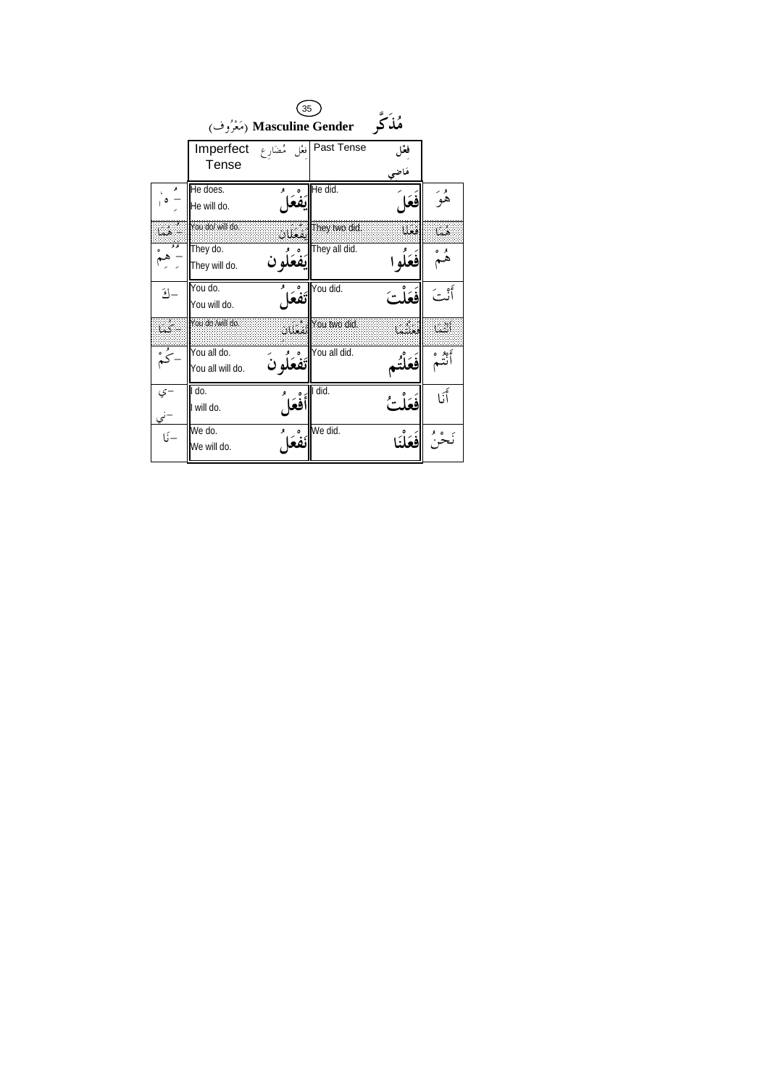| 35                                   |                  |       |                            |        |           |
|--------------------------------------|------------------|-------|----------------------------|--------|-----------|
| مُذكر<br>(مَعْرُوف) Masculine Gender |                  |       |                            |        |           |
|                                      | Imperfect        |       | Past Tense إفغل مُضَارِع   | فغل    |           |
|                                      | Tense            |       |                            | مَاضِي |           |
|                                      | He does.         |       | He did.                    | فعَا   | و<br>هو   |
|                                      | He will do.      |       |                            |        |           |
| ٤                                    | You do/ will do. |       | .<br>العمليات [hey two did | فعلا   | هما       |
| ه و                                  | They do.         |       | They all did.              |        |           |
|                                      | They will do.    |       |                            |        |           |
| $\mathcal{E}$                        | You do.          | أتفعك | You did.                   |        |           |
|                                      | You will do.     |       |                            |        |           |
| يەتكىئا                              | You do /will do  |       | .<br>المعنان You two did   | LU.    | أتشنا     |
| و<br>حي                              | You all do.      |       | You all did.               |        | نېږه<br>پ |
|                                      | You all will do. |       |                            |        |           |
| -ي                                   | I do.            | فْعَا | I did.                     |        | أَ:ا      |
|                                      | I will do.       |       |                            |        |           |
| $\frac{2}{1}$                        | We do.           |       | We did.                    |        |           |
|                                      | We will do.      |       |                            |        |           |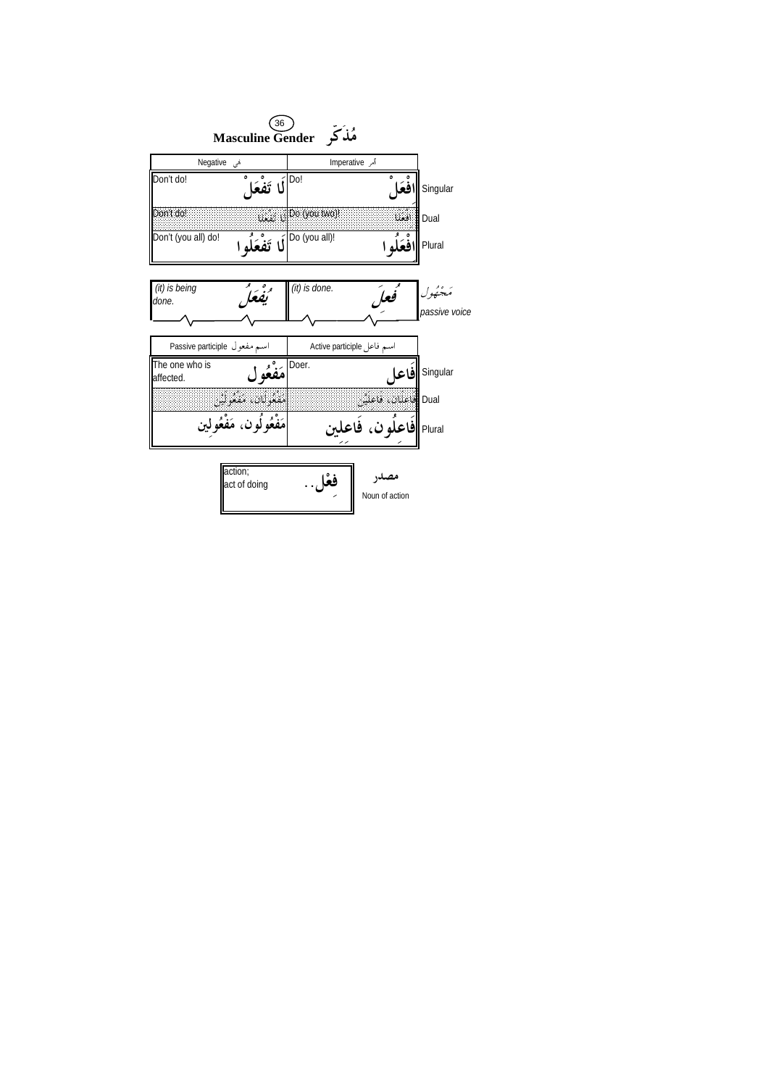| 36<br>مُلذکہ Masculine Gender |                                              |                  |                                                       |                           |  |
|-------------------------------|----------------------------------------------|------------------|-------------------------------------------------------|---------------------------|--|
| Megative هی                   |                                              | أمر Imperative   |                                                       |                           |  |
| Don't do!                     | لَا تَفْعَا                                  | Do!              | افعًا                                                 | Singular                  |  |
| Don't do!                     |                                              | i. JDo (you two) | افعللا                                                | <b>Dual</b>               |  |
| Don't (you all) do!           | $\frac{1}{2}$ أَلَا تَفْعَلُوا $\frac{1}{2}$ |                  | افْعَلْه ا                                            | Plural                    |  |
| (it) is being<br>done.        | تفعًا                                        | $(it)$ is done.  | فعل                                                   | مَجْهُول<br>passive voice |  |
| اسم مفعول Passive participle  |                                              |                  | اسم فاعل Active participle                            |                           |  |
| The one who is<br>affected.   | مَفْعُول                                     |                  |                                                       | Singular <b>  فاعل</b>    |  |
|                               | تنقدان. متعونين<br>مَفْعُولُون، مَفْعُولين   |                  |                                                       |                           |  |
|                               |                                              |                  | Dual اطفاف فاعلت<br>Plural <b>  فاعلُون، فَاعل</b> ين |                           |  |
|                               | action;<br>act of doing                      | فعْل             | مصدر<br>Noun of action                                |                           |  |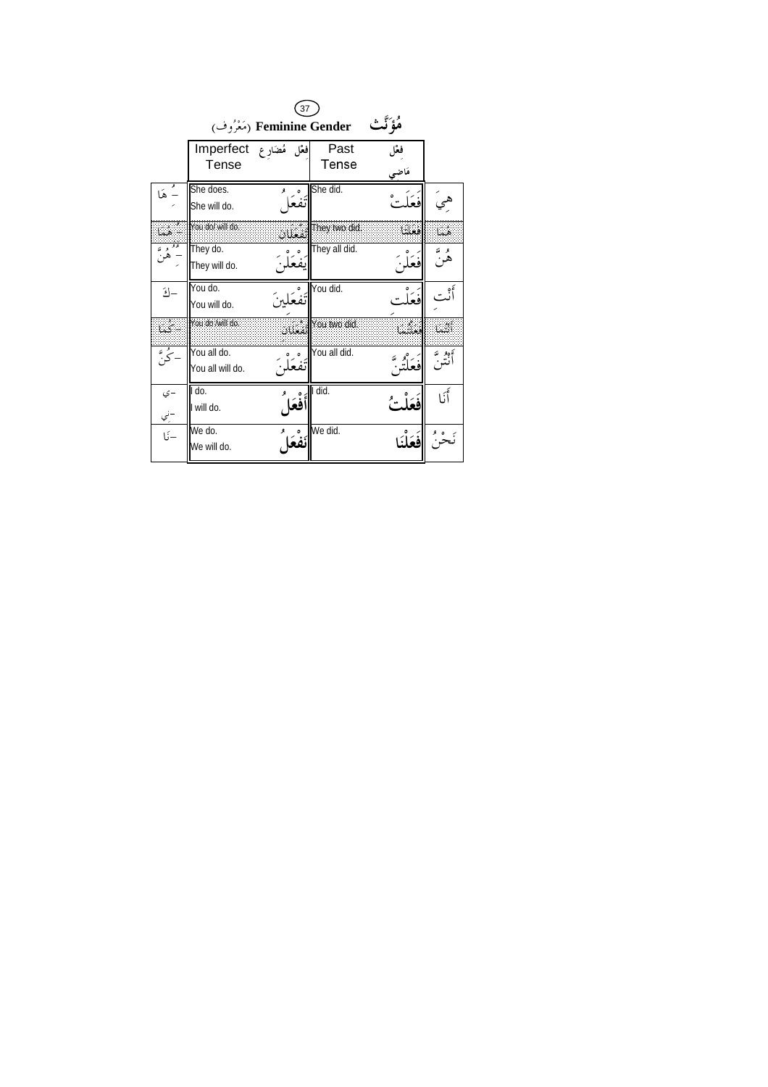| 37                                      |                                 |        |                              |        |             |
|-----------------------------------------|---------------------------------|--------|------------------------------|--------|-------------|
| هُؤَ ٽُتْ<br>(مَعْرُوف) Feminine Gender |                                 |        |                              |        |             |
|                                         | افغل مُضَارِع Imperfect         |        | Past                         | فغل    |             |
|                                         | Tense                           |        | Tense                        | مَاضِي |             |
| نه<br>- هَا                             | She does.                       |        | She did.                     |        |             |
|                                         | She will do.                    |        |                              |        |             |
| - هما                                   | You do/ will do                 |        | lised They two did: أنفغليان | افعلنا | أهيبا       |
|                                         | They do.                        |        | They all did.                |        | و ته<br>هر- |
|                                         | They will do.                   |        |                              |        |             |
| $\mathcal{L}$                           | You do.                         |        | You did.                     |        |             |
|                                         | You will do.<br>You do /will do |        |                              |        |             |
| - كما                                   |                                 | تفغلان | You two did.                 | ោះ     | េះ          |
| ۔<br>- ک "                              | You all do.                     |        | You all did.                 |        | ەدبە<br>نتى |
|                                         | You all will do.                |        |                              |        |             |
| –ي                                      | I do.                           |        | I did.                       |        | أَنَا       |
|                                         | I will do.                      | فعَا   |                              |        |             |
| -ن <u>ي</u><br>-نَا                     | We do.                          |        | We did.                      |        |             |
|                                         | We will do.                     |        |                              |        |             |